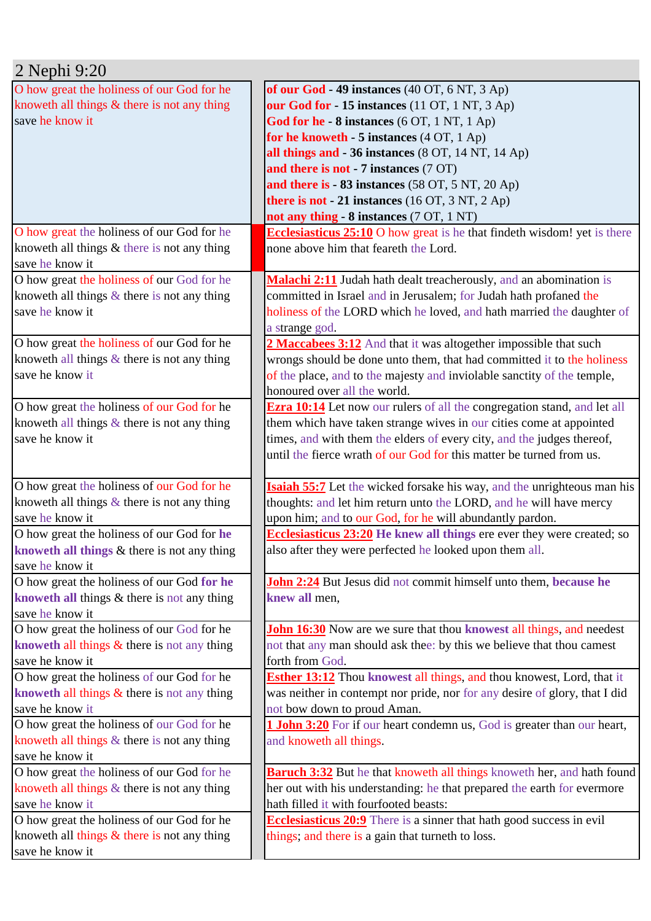| 2 Nephi 9:20                                   |                                                                                 |
|------------------------------------------------|---------------------------------------------------------------------------------|
| O how great the holiness of our God for he     | of our God $-49$ instances (40 OT, 6 NT, 3 Ap)                                  |
| knoweth all things $&$ there is not any thing  | our God for - 15 instances (11 OT, 1 NT, 3 Ap)                                  |
| save he know it                                | God for he - 8 instances (6 OT, 1 NT, 1 Ap)                                     |
|                                                | for he knoweth $-5$ instances $(4 OT, 1 Ap)$                                    |
|                                                | all things and - 36 instances (8 OT, 14 NT, 14 Ap)                              |
|                                                | and there is not - 7 instances (7 OT)                                           |
|                                                | and there is - 83 instances (58 OT, 5 NT, 20 Ap)                                |
|                                                | there is not $-21$ instances (16 OT, 3 NT, 2 Ap)                                |
|                                                | not any thing - 8 instances (7 OT, 1 NT)                                        |
| O how great the holiness of our God for he     | <b>Ecclesiasticus 25:10</b> O how great is he that findeth wisdom! yet is there |
| knoweth all things $&$ there is not any thing  | none above him that feareth the Lord.                                           |
| save he know it                                |                                                                                 |
| O how great the holiness of our God for he     | <b>Malachi 2:11</b> Judah hath dealt treacherously, and an abomination is       |
| knoweth all things $\&$ there is not any thing | committed in Israel and in Jerusalem; for Judah hath profaned the               |
| save he know it                                | holiness of the LORD which he loved, and hath married the daughter of           |
|                                                | a strange god.                                                                  |
| O how great the holiness of our God for he     | 2 Maccabees 3:12 And that it was altogether impossible that such                |
| knoweth all things $\&$ there is not any thing | wrongs should be done unto them, that had committed it to the holiness          |
| save he know it                                | of the place, and to the majesty and inviolable sanctity of the temple,         |
|                                                | honoured over all the world.                                                    |
| O how great the holiness of our God for he     | <b>Ezra 10:14</b> Let now our rulers of all the congregation stand, and let all |
| knoweth all things $\&$ there is not any thing | them which have taken strange wives in our cities come at appointed             |
| save he know it                                | times, and with them the elders of every city, and the judges thereof,          |
|                                                | until the fierce wrath of our God for this matter be turned from us.            |
|                                                |                                                                                 |
| O how great the holiness of our God for he     | <b>Isaiah 55:7</b> Let the wicked forsake his way, and the unrighteous man his  |
| knoweth all things $\&$ there is not any thing | thoughts: and let him return unto the LORD, and he will have mercy              |
| save he know it                                | upon him; and to our God, for he will abundantly pardon.                        |
| O how great the holiness of our God for he     | <b>Ecclesiasticus 23:20</b> He knew all things ere ever they were created; so   |
| knoweth all things & there is not any thing    | also after they were perfected he looked upon them all.                         |
| save he know it                                |                                                                                 |
| O how great the holiness of our God for he     | <b>John 2:24</b> But Jesus did not commit himself unto them, because he         |
| knoweth all things $&$ there is not any thing  | knew all men,                                                                   |
| save he know it                                |                                                                                 |
| O how great the holiness of our God for he     | <b>John 16:30</b> Now are we sure that thou knowest all things, and needest     |
| knoweth all things $\&$ there is not any thing | not that any man should ask thee: by this we believe that thou camest           |
| save he know it                                | forth from God.                                                                 |
| O how great the holiness of our God for he     | <b>Esther 13:12</b> Thou knowest all things, and thou knowest, Lord, that it    |
| knoweth all things $\&$ there is not any thing | was neither in contempt nor pride, nor for any desire of glory, that I did      |
| save he know it                                | not bow down to proud Aman.                                                     |
| O how great the holiness of our God for he     | <b>1 John 3:20</b> For if our heart condemn us, God is greater than our heart,  |
| knoweth all things & there is not any thing    | and knoweth all things.                                                         |
| save he know it                                |                                                                                 |
| O how great the holiness of our God for he     | <b>Baruch 3:32</b> But he that knoweth all things knoweth her, and hath found   |
| knoweth all things $&$ there is not any thing  | her out with his understanding: he that prepared the earth for evermore         |
| save he know it                                | hath filled it with fourfooted beasts:                                          |
| O how great the holiness of our God for he     | <b>Ecclesiasticus 20:9</b> There is a sinner that hath good success in evil     |
| knoweth all things $&$ there is not any thing  | things, and there is a gain that turneth to loss.                               |
| save he know it                                |                                                                                 |
|                                                |                                                                                 |